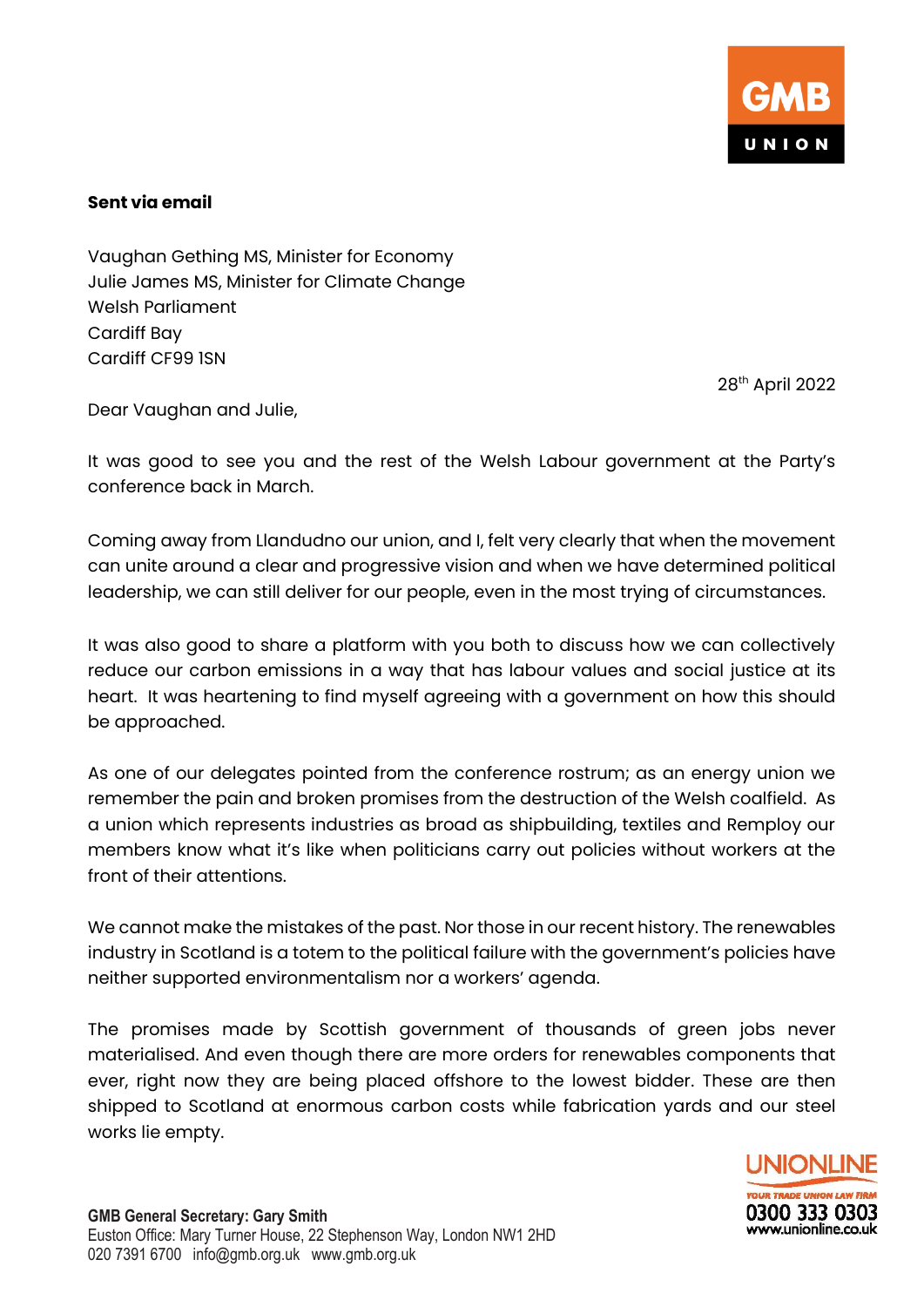

## **Sent via email**

Vaughan Gething MS, Minister for Economy Julie James MS, Minister for Climate Change Welsh Parliament Cardiff Bay Cardiff CF99 1SN

28 th April 2022

Dear Vaughan and Julie,

It was good to see you and the rest of the Welsh Labour government at the Party's conference back in March.

Coming away from Llandudno our union, and I, felt very clearly that when the movement can unite around a clear and progressive vision and when we have determined political leadership, we can still deliver for our people, even in the most trying of circumstances.

It was also good to share a platform with you both to discuss how we can collectively reduce our carbon emissions in a way that has labour values and social justice at its heart. It was heartening to find myself agreeing with a government on how this should be approached.

As one of our delegates pointed from the conference rostrum; as an energy union we remember the pain and broken promises from the destruction of the Welsh coalfield. As a union which represents industries as broad as shipbuilding, textiles and Remploy our members know what it's like when politicians carry out policies without workers at the front of their attentions.

We cannot make the mistakes of the past. Nor those in our recent history. The renewables industry in Scotland is a totem to the political failure with the government's policies have neither supported environmentalism nor a workers' agenda.

The promises made by Scottish government of thousands of green jobs never materialised. And even though there are more orders for renewables components that ever, right now they are being placed offshore to the lowest bidder. These are then shipped to Scotland at enormous carbon costs while fabrication yards and our steel works lie empty.

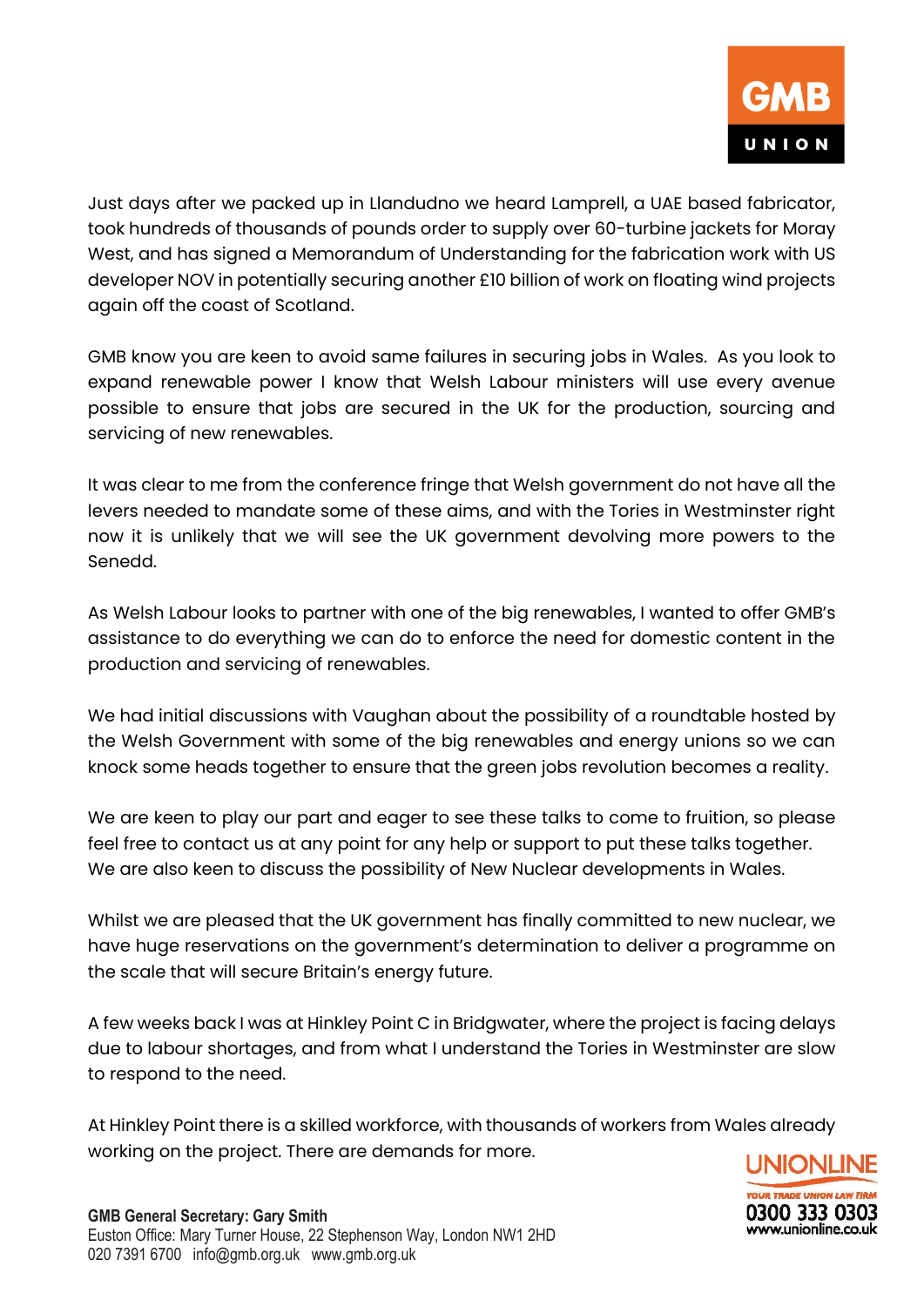Just days after we packed up in Llandudno we heard Lamprell, a UAE based fabricator, took hundreds of thousands of pounds order to supply over 60-turbine jackets for Moray West, and has signed a Memorandum of Understanding for the fabrication work with US developer NOV in potentially securing another £10 billion of work on floating wind projects again off the coast of Scotland.

GMB know you are keen to avoid same failures in securing jobs in Wales. As you look to expand renewable power I know that Welsh Labour ministers will use every avenue possible to ensure that jobs are secured in the UK for the production, sourcing and servicing of new renewables.

It was clear to me from the conference fringe that Welsh government do not have all the levers needed to mandate some of these aims, and with the Tories in Westminster right now it is unlikely that we will see the UK government devolving more powers to the Senedd.

As Welsh Labour looks to partner with one of the big renewables, I wanted to offer GMB's assistance to do everything we can do to enforce the need for domestic content in the production and servicing of renewables.

We had initial discussions with Vaughan about the possibility of a roundtable hosted by the Welsh Government with some of the big renewables and energy unions so we can knock some heads together to ensure that the green jobs revolution becomes a reality.

We are keen to play our part and eager to see these talks to come to fruition, so please feel free to contact us at any point for any help or support to put these talks together. We are also keen to discuss the possibility of New Nuclear developments in Wales.

Whilst we are pleased that the UK government has finally committed to new nuclear, we have huge reservations on the government's determination to deliver a programme on the scale that will secure Britain's energy future.

A few weeks back I was at Hinkley Point C in Bridgwater, where the project is facing delays due to labour shortages, and from what I understand the Tories in Westminster are slow to respond to the need.

At Hinkley Point there is a skilled workforce, with thousands of workers from Wales already working on the project. There are demands for more.